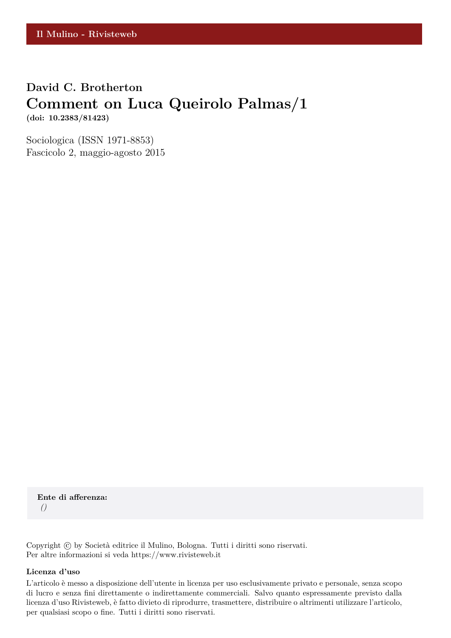## **David C. Brotherton Comment on Luca Queirolo Palmas/1 (doi: 10.2383/81423)**

Sociologica (ISSN 1971-8853) Fascicolo 2, maggio-agosto 2015

**Ente di afferenza:** *()*

Copyright © by Società editrice il Mulino, Bologna. Tutti i diritti sono riservati. Per altre informazioni si veda https://www.rivisteweb.it

#### **Licenza d'uso**

L'articolo è messo a disposizione dell'utente in licenza per uso esclusivamente privato e personale, senza scopo di lucro e senza fini direttamente o indirettamente commerciali. Salvo quanto espressamente previsto dalla licenza d'uso Rivisteweb, è fatto divieto di riprodurre, trasmettere, distribuire o altrimenti utilizzare l'articolo, per qualsiasi scopo o fine. Tutti i diritti sono riservati.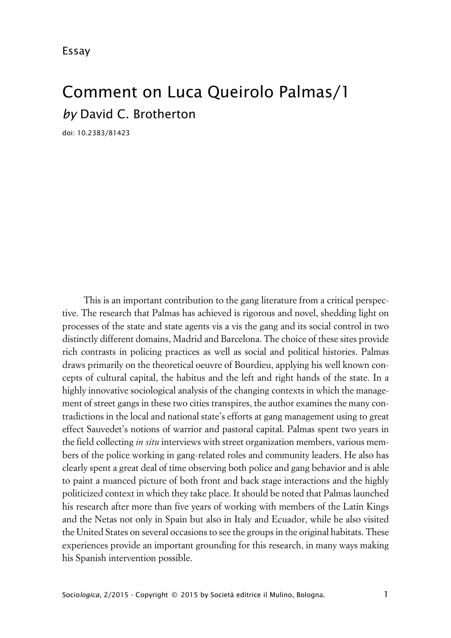Essay

# Comment on Luca Queirolo Palmas/1 *by* David C. Brotherton

doi: 10.2383/81423

This is an important contribution to the gang literature from a critical perspective. The research that Palmas has achieved is rigorous and novel, shedding light on processes of the state and state agents vis a vis the gang and its social control in two distinctly different domains, Madrid and Barcelona. The choice of these sites provide rich contrasts in policing practices as well as social and political histories. Palmas draws primarily on the theoretical oeuvre of Bourdieu, applying his well known concepts of cultural capital, the habitus and the left and right hands of the state. In a highly innovative sociological analysis of the changing contexts in which the management of street gangs in these two cities transpires, the author examines the many contradictions in the local and national state's efforts at gang management using to great effect Sauvedet's notions of warrior and pastoral capital. Palmas spent two years in the field collecting *in situ* interviews with street organization members, various members of the police working in gang-related roles and community leaders. He also has clearly spent a great deal of time observing both police and gang behavior and is able to paint a nuanced picture of both front and back stage interactions and the highly politicized context in which they take place. It should be noted that Palmas launched his research after more than five years of working with members of the Latin Kings and the Netas not only in Spain but also in Italy and Ecuador, while he also visited the United States on several occasions to see the groups in the original habitats. These experiences provide an important grounding for this research, in many ways making his Spanish intervention possible.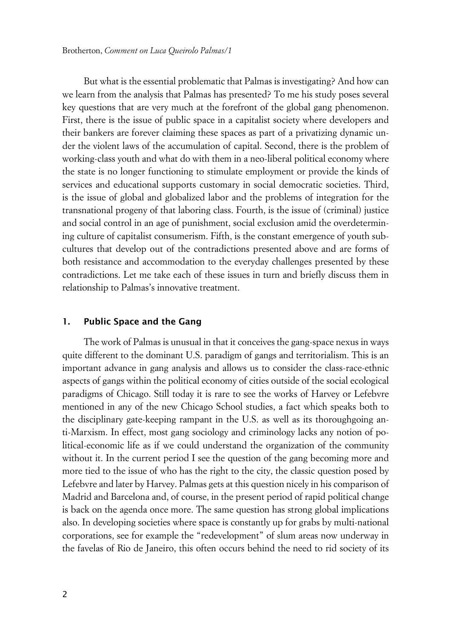But what is the essential problematic that Palmas is investigating? And how can we learn from the analysis that Palmas has presented? To me his study poses several key questions that are very much at the forefront of the global gang phenomenon. First, there is the issue of public space in a capitalist society where developers and their bankers are forever claiming these spaces as part of a privatizing dynamic under the violent laws of the accumulation of capital. Second, there is the problem of working-class youth and what do with them in a neo-liberal political economy where the state is no longer functioning to stimulate employment or provide the kinds of services and educational supports customary in social democratic societies. Third, is the issue of global and globalized labor and the problems of integration for the transnational progeny of that laboring class. Fourth, is the issue of (criminal) justice and social control in an age of punishment, social exclusion amid the overdetermining culture of capitalist consumerism. Fifth, is the constant emergence of youth subcultures that develop out of the contradictions presented above and are forms of both resistance and accommodation to the everyday challenges presented by these contradictions. Let me take each of these issues in turn and briefly discuss them in relationship to Palmas's innovative treatment.

#### **1. Public Space and the Gang**

The work of Palmas is unusual in that it conceives the gang-space nexus in ways quite different to the dominant U.S. paradigm of gangs and territorialism. This is an important advance in gang analysis and allows us to consider the class-race-ethnic aspects of gangs within the political economy of cities outside of the social ecological paradigms of Chicago. Still today it is rare to see the works of Harvey or Lefebvre mentioned in any of the new Chicago School studies, a fact which speaks both to the disciplinary gate-keeping rampant in the U.S. as well as its thoroughgoing anti-Marxism. In effect, most gang sociology and criminology lacks any notion of political-economic life as if we could understand the organization of the community without it. In the current period I see the question of the gang becoming more and more tied to the issue of who has the right to the city, the classic question posed by Lefebvre and later by Harvey. Palmas gets at this question nicely in his comparison of Madrid and Barcelona and, of course, in the present period of rapid political change is back on the agenda once more. The same question has strong global implications also. In developing societies where space is constantly up for grabs by multi-national corporations, see for example the "redevelopment" of slum areas now underway in the favelas of Rio de Janeiro, this often occurs behind the need to rid society of its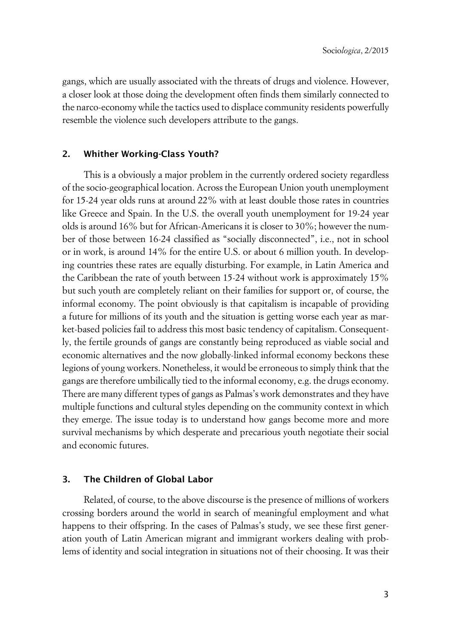gangs, which are usually associated with the threats of drugs and violence. However, a closer look at those doing the development often finds them similarly connected to the narco-economy while the tactics used to displace community residents powerfully resemble the violence such developers attribute to the gangs.

#### **2. Whither Working-Class Youth?**

This is a obviously a major problem in the currently ordered society regardless of the socio-geographical location. Across the European Union youth unemployment for 15-24 year olds runs at around 22% with at least double those rates in countries like Greece and Spain. In the U.S. the overall youth unemployment for 19-24 year olds is around 16% but for African-Americans it is closer to 30%; however the number of those between 16-24 classified as "socially disconnected", i.e., not in school or in work, is around 14% for the entire U.S. or about 6 million youth. In developing countries these rates are equally disturbing. For example, in Latin America and the Caribbean the rate of youth between 15-24 without work is approximately 15% but such youth are completely reliant on their families for support or, of course, the informal economy. The point obviously is that capitalism is incapable of providing a future for millions of its youth and the situation is getting worse each year as market-based policies fail to address this most basic tendency of capitalism. Consequently, the fertile grounds of gangs are constantly being reproduced as viable social and economic alternatives and the now globally-linked informal economy beckons these legions of young workers. Nonetheless, it would be erroneous to simply think that the gangs are therefore umbilically tied to the informal economy, e.g. the drugs economy. There are many different types of gangs as Palmas's work demonstrates and they have multiple functions and cultural styles depending on the community context in which they emerge. The issue today is to understand how gangs become more and more survival mechanisms by which desperate and precarious youth negotiate their social and economic futures.

#### **3. The Children of Global Labor**

Related, of course, to the above discourse is the presence of millions of workers crossing borders around the world in search of meaningful employment and what happens to their offspring. In the cases of Palmas's study, we see these first generation youth of Latin American migrant and immigrant workers dealing with problems of identity and social integration in situations not of their choosing. It was their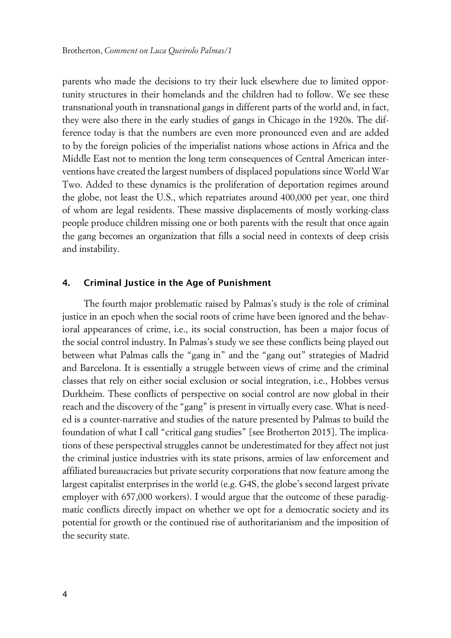parents who made the decisions to try their luck elsewhere due to limited opportunity structures in their homelands and the children had to follow. We see these transnational youth in transnational gangs in different parts of the world and, in fact, they were also there in the early studies of gangs in Chicago in the 1920s. The difference today is that the numbers are even more pronounced even and are added to by the foreign policies of the imperialist nations whose actions in Africa and the Middle East not to mention the long term consequences of Central American interventions have created the largest numbers of displaced populations since World War Two. Added to these dynamics is the proliferation of deportation regimes around the globe, not least the U.S., which repatriates around 400,000 per year, one third of whom are legal residents. These massive displacements of mostly working-class people produce children missing one or both parents with the result that once again the gang becomes an organization that fills a social need in contexts of deep crisis and instability.

#### **4. Criminal Justice in the Age of Punishment**

The fourth major problematic raised by Palmas's study is the role of criminal justice in an epoch when the social roots of crime have been ignored and the behavioral appearances of crime, i.e., its social construction, has been a major focus of the social control industry. In Palmas's study we see these conflicts being played out between what Palmas calls the "gang in" and the "gang out" strategies of Madrid and Barcelona. It is essentially a struggle between views of crime and the criminal classes that rely on either social exclusion or social integration, i.e., Hobbes versus Durkheim. These conflicts of perspective on social control are now global in their reach and the discovery of the "gang" is present in virtually every case. What is needed is a counter-narrative and studies of the nature presented by Palmas to build the foundation of what I call "critical gang studies" [see Brotherton 2015]. The implications of these perspectival struggles cannot be underestimated for they affect not just the criminal justice industries with its state prisons, armies of law enforcement and affiliated bureaucracies but private security corporations that now feature among the largest capitalist enterprises in the world (e.g. G4S, the globe's second largest private employer with 657,000 workers). I would argue that the outcome of these paradigmatic conflicts directly impact on whether we opt for a democratic society and its potential for growth or the continued rise of authoritarianism and the imposition of the security state.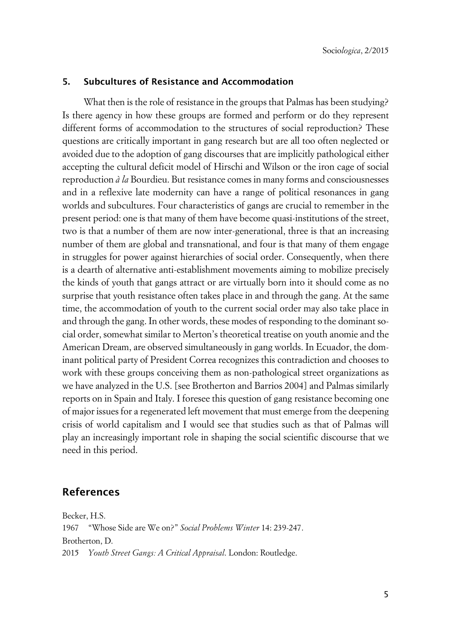#### **5. Subcultures of Resistance and Accommodation**

What then is the role of resistance in the groups that Palmas has been studying? Is there agency in how these groups are formed and perform or do they represent different forms of accommodation to the structures of social reproduction? These questions are critically important in gang research but are all too often neglected or avoided due to the adoption of gang discourses that are implicitly pathological either accepting the cultural deficit model of Hirschi and Wilson or the iron cage of social reproduction *à la* Bourdieu. But resistance comes in many forms and consciousnesses and in a reflexive late modernity can have a range of political resonances in gang worlds and subcultures. Four characteristics of gangs are crucial to remember in the present period: one is that many of them have become quasi-institutions of the street, two is that a number of them are now inter-generational, three is that an increasing number of them are global and transnational, and four is that many of them engage in struggles for power against hierarchies of social order. Consequently, when there is a dearth of alternative anti-establishment movements aiming to mobilize precisely the kinds of youth that gangs attract or are virtually born into it should come as no surprise that youth resistance often takes place in and through the gang. At the same time, the accommodation of youth to the current social order may also take place in and through the gang. In other words, these modes of responding to the dominant social order, somewhat similar to Merton's theoretical treatise on youth anomie and the American Dream, are observed simultaneously in gang worlds. In Ecuador, the dominant political party of President Correa recognizes this contradiction and chooses to work with these groups conceiving them as non-pathological street organizations as we have analyzed in the U.S. [see Brotherton and Barrios 2004] and Palmas similarly reports on in Spain and Italy. I foresee this question of gang resistance becoming one of major issues for a regenerated left movement that must emerge from the deepening crisis of world capitalism and I would see that studies such as that of Palmas will play an increasingly important role in shaping the social scientific discourse that we need in this period.

#### **References**

Becker, H.S. 1967 "Whose Side are We on?" *Social Problems Winter* 14: 239-247. Brotherton, D. 2015 *Youth Street Gangs: A Critical Appraisal*. London: Routledge.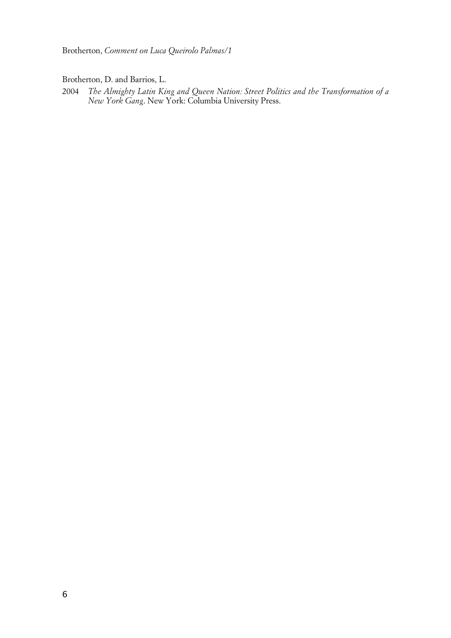Brotherton, D. and Barrios, L.

2004 *The Almighty Latin King and Queen Nation: Street Politics and the Transformation of a New York Gang*. New York: Columbia University Press.